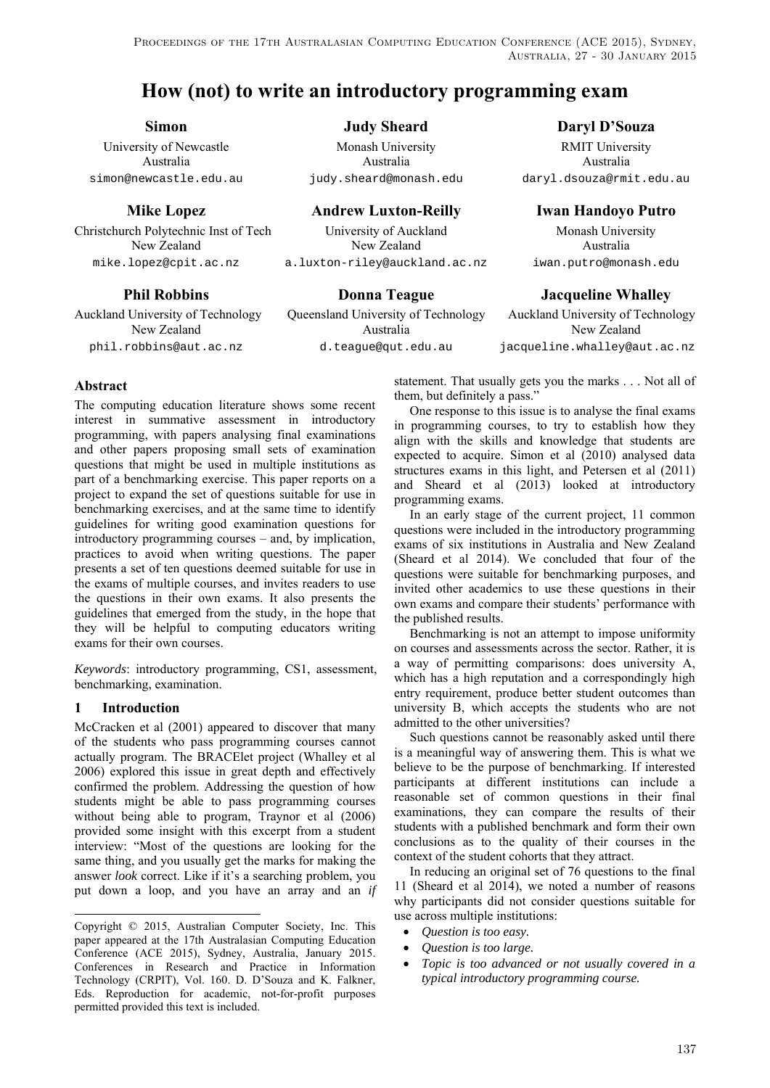PROCEEDINGS OF THE 17TH AUSTRALASIAN COMPUTING EDUCATION CONFERENCE (ACE 2015), SYDNEY, Australia, 27 - 30 January 2015

# **How (not) to write an introductory programming exam**

Australia Australia Australia

Auckland University of Technology Queensland University of Technology Auckland University of Technology

University of Newcastle Monash University RMIT University

 **Mike Lopez Andrew Luxton-Reilly Iwan Handoyo Putro** 

Christchurch Polytechnic Inst of Tech University of Auckland Monash University New Zealand New Zealand Australia mike.lopez@cpit.ac.nz a.luxton-riley@auckland.ac.nz iwan.putro@monash.edu

New Zealand **Australia** Australia New Zealand New Zealand phil.robbins@aut.ac.nz d.teague@qut.edu.au jacqueline.whalley@aut.ac.nz

**Simon** Judy Sheard Daryl D'Souza

simon@newcastle.edu.au judy.sheard@monash.edu daryl.dsouza@rmit.edu.au

**Phil Robbins Comma Teague 18 Donna Teague 18 Dacqueline Whalley** 

## **Abstract**

The computing education literature shows some recent interest in summative assessment in introductory programming, with papers analysing final examinations and other papers proposing small sets of examination questions that might be used in multiple institutions as part of a benchmarking exercise. This paper reports on a project to expand the set of questions suitable for use in benchmarking exercises, and at the same time to identify guidelines for writing good examination questions for introductory programming courses – and, by implication, practices to avoid when writing questions. The paper presents a set of ten questions deemed suitable for use in the exams of multiple courses, and invites readers to use the questions in their own exams. It also presents the guidelines that emerged from the study, in the hope that they will be helpful to computing educators writing exams for their own courses..

*Keywords*: introductory programming, CS1, assessment, benchmarking, examination.

## **1 Introduction**

l

McCracken et al (2001) appeared to discover that many of the students who pass programming courses cannot actually program. The BRACElet project (Whalley et al 2006) explored this issue in great depth and effectively confirmed the problem. Addressing the question of how students might be able to pass programming courses without being able to program, Traynor et al (2006) provided some insight with this excerpt from a student interview: "Most of the questions are looking for the same thing, and you usually get the marks for making the answer *look* correct. Like if it's a searching problem, you put down a loop, and you have an array and an *if* statement. That usually gets you the marks . . . Not all of them, but definitely a pass."

One response to this issue is to analyse the final exams in programming courses, to try to establish how they align with the skills and knowledge that students are expected to acquire. Simon et al (2010) analysed data structures exams in this light, and Petersen et al (2011) and Sheard et al (2013) looked at introductory programming exams.

In an early stage of the current project, 11 common questions were included in the introductory programming exams of six institutions in Australia and New Zealand (Sheard et al 2014). We concluded that four of the questions were suitable for benchmarking purposes, and invited other academics to use these questions in their own exams and compare their students' performance with the published results.

Benchmarking is not an attempt to impose uniformity on courses and assessments across the sector. Rather, it is a way of permitting comparisons: does university A, which has a high reputation and a correspondingly high entry requirement, produce better student outcomes than university B, which accepts the students who are not admitted to the other universities?

Such questions cannot be reasonably asked until there is a meaningful way of answering them. This is what we believe to be the purpose of benchmarking. If interested participants at different institutions can include a reasonable set of common questions in their final examinations, they can compare the results of their students with a published benchmark and form their own conclusions as to the quality of their courses in the context of the student cohorts that they attract.

In reducing an original set of 76 questions to the final 11 (Sheard et al 2014), we noted a number of reasons why participants did not consider questions suitable for use across multiple institutions:

- *Question is too easy.*
- *Question is too large.*
- *Topic is too advanced or not usually covered in a typical introductory programming course.*

Copyright © 2015, Australian Computer Society, Inc. This paper appeared at the 17th Australasian Computing Education Conference (ACE 2015), Sydney, Australia, January 2015. Conferences in Research and Practice in Information Technology (CRPIT), Vol. 160. D. D'Souza and K. Falkner, Eds. Reproduction for academic, not-for-profit purposes permitted provided this text is included.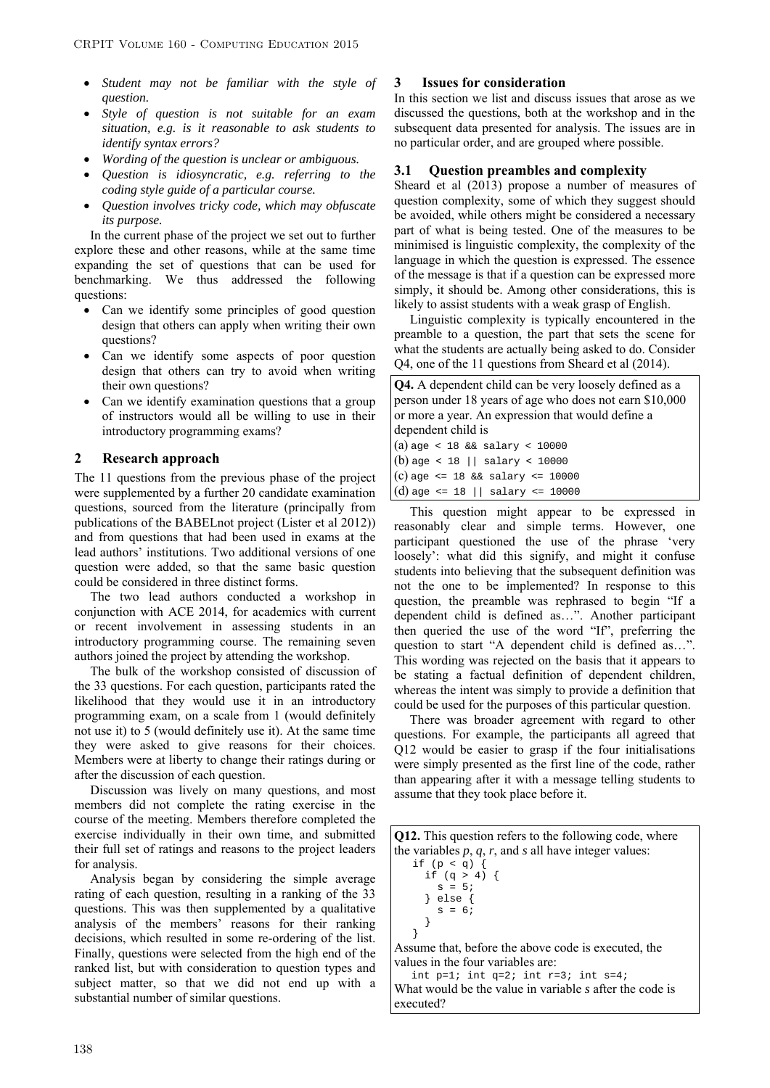- *Student may not be familiar with the style of question.*
- *Style of question is not suitable for an exam situation, e.g. is it reasonable to ask students to identify syntax errors?*
- *Wording of the question is unclear or ambiguous.*
- *Question is idiosyncratic, e.g. referring to the coding style guide of a particular course.*
- *Question involves tricky code, which may obfuscate its purpose.*

In the current phase of the project we set out to further explore these and other reasons, while at the same time expanding the set of questions that can be used for benchmarking. We thus addressed the following questions:

- Can we identify some principles of good question design that others can apply when writing their own questions?
- Can we identify some aspects of poor question design that others can try to avoid when writing their own questions?
- Can we identify examination questions that a group of instructors would all be willing to use in their introductory programming exams?

### **2 Research approach**

The 11 questions from the previous phase of the project were supplemented by a further 20 candidate examination questions, sourced from the literature (principally from publications of the BABELnot project (Lister et al 2012)) and from questions that had been used in exams at the lead authors' institutions. Two additional versions of one question were added, so that the same basic question could be considered in three distinct forms.

The two lead authors conducted a workshop in conjunction with ACE 2014, for academics with current or recent involvement in assessing students in an introductory programming course. The remaining seven authors joined the project by attending the workshop.

The bulk of the workshop consisted of discussion of the 33 questions. For each question, participants rated the likelihood that they would use it in an introductory programming exam, on a scale from 1 (would definitely not use it) to 5 (would definitely use it). At the same time they were asked to give reasons for their choices. Members were at liberty to change their ratings during or after the discussion of each question.

Discussion was lively on many questions, and most members did not complete the rating exercise in the course of the meeting. Members therefore completed the exercise individually in their own time, and submitted their full set of ratings and reasons to the project leaders for analysis.

Analysis began by considering the simple average rating of each question, resulting in a ranking of the 33 questions. This was then supplemented by a qualitative analysis of the members' reasons for their ranking decisions, which resulted in some re-ordering of the list. Finally, questions were selected from the high end of the ranked list, but with consideration to question types and subject matter, so that we did not end up with a substantial number of similar questions.

### **3 Issues for consideration**

In this section we list and discuss issues that arose as we discussed the questions, both at the workshop and in the subsequent data presented for analysis. The issues are in no particular order, and are grouped where possible.

### **3.1 Question preambles and complexity**

Sheard et al (2013) propose a number of measures of question complexity, some of which they suggest should be avoided, while others might be considered a necessary part of what is being tested. One of the measures to be minimised is linguistic complexity, the complexity of the language in which the question is expressed. The essence of the message is that if a question can be expressed more simply, it should be. Among other considerations, this is likely to assist students with a weak grasp of English.

Linguistic complexity is typically encountered in the preamble to a question, the part that sets the scene for what the students are actually being asked to do. Consider Q4, one of the 11 questions from Sheard et al (2014).

| <b>Q4.</b> A dependent child can be very loosely defined as a |
|---------------------------------------------------------------|
| person under 18 years of age who does not earn \$10,000       |
| or more a year. An expression that would define a             |
| dependent child is                                            |
| $(a)$ age < 18 & salary < 10000                               |
| $ (b)$ age < 18    salary < 10000                             |
| $(c)$ age <= 18 && salary <= 10000                            |
| $ (d)$ age <= 18    salary <= 10000                           |

This question might appear to be expressed in reasonably clear and simple terms. However, one participant questioned the use of the phrase 'very loosely': what did this signify, and might it confuse students into believing that the subsequent definition was not the one to be implemented? In response to this question, the preamble was rephrased to begin "If a dependent child is defined as…". Another participant then queried the use of the word "If", preferring the question to start "A dependent child is defined as…". This wording was rejected on the basis that it appears to be stating a factual definition of dependent children, whereas the intent was simply to provide a definition that could be used for the purposes of this particular question.

There was broader agreement with regard to other questions. For example, the participants all agreed that Q12 would be easier to grasp if the four initialisations were simply presented as the first line of the code, rather than appearing after it with a message telling students to assume that they took place before it.

**Q12.** This question refers to the following code, where the variables *p*, *q*, *r*, and *s* all have integer values:

if  $(p < q)$  { if  $(q > 4)$  {  $s = 5i$  } else {  $s = 6;$  } }

Assume that, before the above code is executed, the values in the four variables are:

int  $p=1$ ; int  $q=2$ ; int  $r=3$ ; int  $s=4$ ; What would be the value in variable *s* after the code is executed?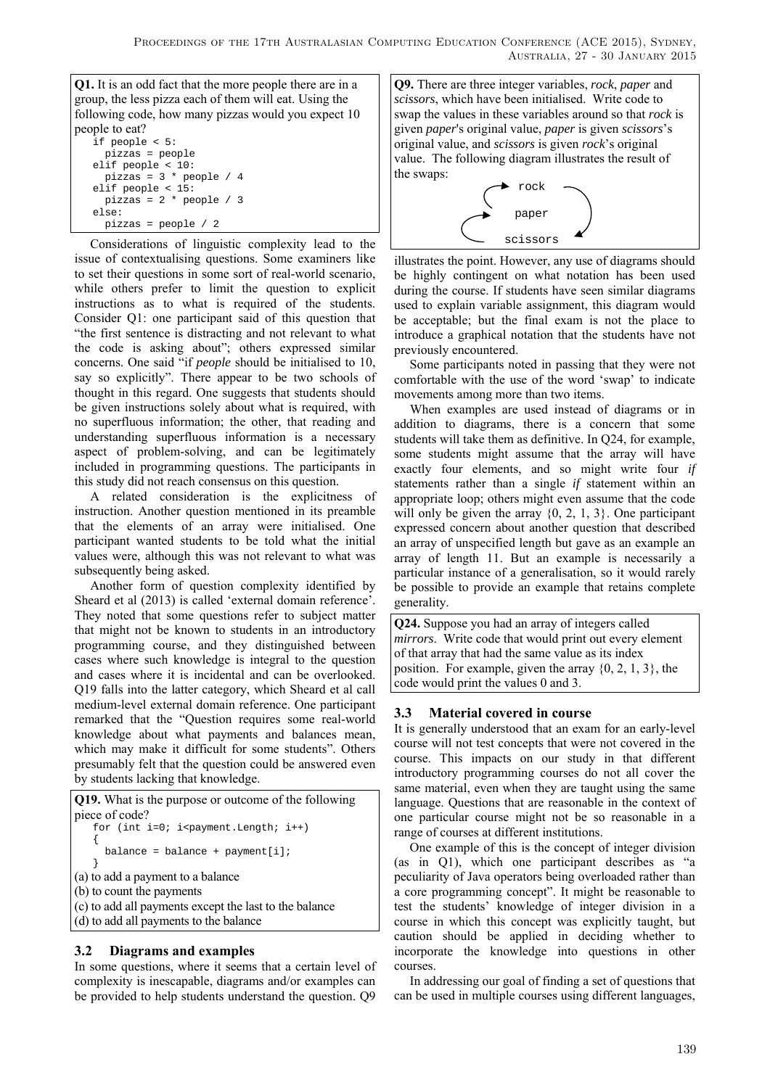**Q1.** It is an odd fact that the more people there are in a group, the less pizza each of them will eat. Using the following code, how many pizzas would you expect 10 people to eat?

| r - - r - - - - - - - - - |
|---------------------------|
| if people $< 5$ :         |
| $pizzas = people$         |
| elif people $< 10$ :      |
| pizzas = $3 *$ people / 4 |
| elif people $< 15$ :      |
| pizzas = $2 * people / 3$ |
| else:                     |
| $pizzas = people / 2$     |

Considerations of linguistic complexity lead to the issue of contextualising questions. Some examiners like to set their questions in some sort of real-world scenario, while others prefer to limit the question to explicit instructions as to what is required of the students. Consider Q1: one participant said of this question that "the first sentence is distracting and not relevant to what the code is asking about"; others expressed similar concerns. One said "if *people* should be initialised to 10, say so explicitly". There appear to be two schools of thought in this regard. One suggests that students should be given instructions solely about what is required, with no superfluous information; the other, that reading and understanding superfluous information is a necessary aspect of problem-solving, and can be legitimately included in programming questions. The participants in this study did not reach consensus on this question.

A related consideration is the explicitness of instruction. Another question mentioned in its preamble that the elements of an array were initialised. One participant wanted students to be told what the initial values were, although this was not relevant to what was subsequently being asked.

Another form of question complexity identified by Sheard et al (2013) is called 'external domain reference'. They noted that some questions refer to subject matter that might not be known to students in an introductory programming course, and they distinguished between cases where such knowledge is integral to the question and cases where it is incidental and can be overlooked. Q19 falls into the latter category, which Sheard et al call medium-level external domain reference. One participant remarked that the "Question requires some real-world knowledge about what payments and balances mean, which may make it difficult for some students". Others presumably felt that the question could be answered even by students lacking that knowledge.

**Q19.** What is the purpose or outcome of the following piece of code? for (int  $i=0$ ;  $i$ <payment.Length;  $i++$ )  $\{$  balance = balance + payment[i]; } (a) to add a payment to a balance (b) to count the payments

- (c) to add all payments except the last to the balance
- (d) to add all payments to the balance

## **3.2 Diagrams and examples**

In some questions, where it seems that a certain level of complexity is inescapable, diagrams and/or examples can be provided to help students understand the question. Q9

**Q9.** There are three integer variables, *rock*, *paper* and *scissors*, which have been initialised. Write code to swap the values in these variables around so that *rock* is given *paper*'s original value, *paper* is given *scissors*'s original value, and *scissors* is given *rock*'s original value. The following diagram illustrates the result of the swaps:



illustrates the point. However, any use of diagrams should be highly contingent on what notation has been used during the course. If students have seen similar diagrams used to explain variable assignment, this diagram would be acceptable; but the final exam is not the place to introduce a graphical notation that the students have not previously encountered.

Some participants noted in passing that they were not comfortable with the use of the word 'swap' to indicate movements among more than two items.

When examples are used instead of diagrams or in addition to diagrams, there is a concern that some students will take them as definitive. In Q24, for example, some students might assume that the array will have exactly four elements, and so might write four *if* statements rather than a single *if* statement within an appropriate loop; others might even assume that the code will only be given the array  $\{0, 2, 1, 3\}$ . One participant expressed concern about another question that described an array of unspecified length but gave as an example an array of length 11. But an example is necessarily a particular instance of a generalisation, so it would rarely be possible to provide an example that retains complete generality.

**Q24.** Suppose you had an array of integers called *mirrors*. Write code that would print out every element of that array that had the same value as its index position. For example, given the array  $\{0, 2, 1, 3\}$ , the code would print the values 0 and 3.

## **3.3 Material covered in course**

It is generally understood that an exam for an early-level course will not test concepts that were not covered in the course. This impacts on our study in that different introductory programming courses do not all cover the same material, even when they are taught using the same language. Questions that are reasonable in the context of one particular course might not be so reasonable in a range of courses at different institutions.

One example of this is the concept of integer division (as in Q1), which one participant describes as "a peculiarity of Java operators being overloaded rather than a core programming concept". It might be reasonable to test the students' knowledge of integer division in a course in which this concept was explicitly taught, but caution should be applied in deciding whether to incorporate the knowledge into questions in other courses.

In addressing our goal of finding a set of questions that can be used in multiple courses using different languages,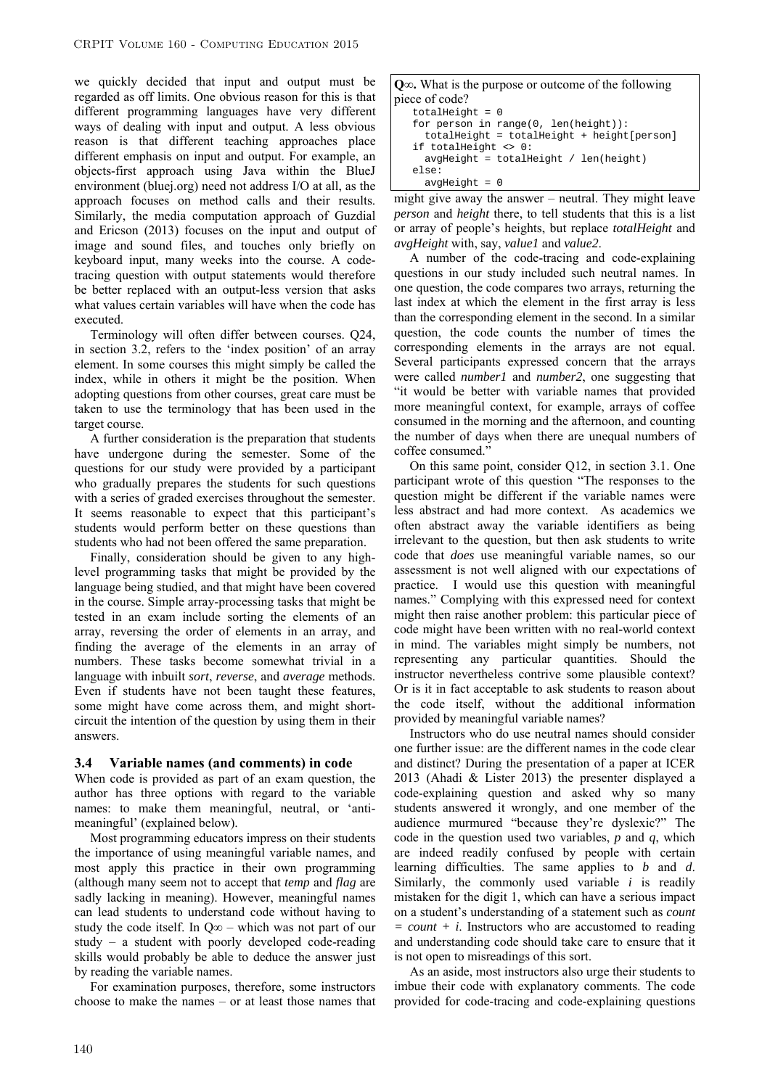we quickly decided that input and output must be regarded as off limits. One obvious reason for this is that different programming languages have very different ways of dealing with input and output. A less obvious reason is that different teaching approaches place different emphasis on input and output. For example, an objects-first approach using Java within the BlueJ environment (bluej.org) need not address I/O at all, as the approach focuses on method calls and their results. Similarly, the media computation approach of Guzdial and Ericson (2013) focuses on the input and output of image and sound files, and touches only briefly on keyboard input, many weeks into the course. A codetracing question with output statements would therefore be better replaced with an output-less version that asks what values certain variables will have when the code has executed.

Terminology will often differ between courses. Q24, in section 3.2, refers to the 'index position' of an array element. In some courses this might simply be called the index, while in others it might be the position. When adopting questions from other courses, great care must be taken to use the terminology that has been used in the target course.

A further consideration is the preparation that students have undergone during the semester. Some of the questions for our study were provided by a participant who gradually prepares the students for such questions with a series of graded exercises throughout the semester. It seems reasonable to expect that this participant's students would perform better on these questions than students who had not been offered the same preparation.

Finally, consideration should be given to any highlevel programming tasks that might be provided by the language being studied, and that might have been covered in the course. Simple array-processing tasks that might be tested in an exam include sorting the elements of an array, reversing the order of elements in an array, and finding the average of the elements in an array of numbers. These tasks become somewhat trivial in a language with inbuilt *sort*, *reverse*, and *average* methods. Even if students have not been taught these features, some might have come across them, and might shortcircuit the intention of the question by using them in their answers.

### **3.4 Variable names (and comments) in code**

When code is provided as part of an exam question, the author has three options with regard to the variable names: to make them meaningful, neutral, or 'antimeaningful' (explained below).

Most programming educators impress on their students the importance of using meaningful variable names, and most apply this practice in their own programming (although many seem not to accept that *temp* and *flag* are sadly lacking in meaning). However, meaningful names can lead students to understand code without having to study the code itself. In  $Q\infty$  – which was not part of our study – a student with poorly developed code-reading skills would probably be able to deduce the answer just by reading the variable names.

For examination purposes, therefore, some instructors choose to make the names – or at least those names that

| $Q\infty$ . What is the purpose or outcome of the following |
|-------------------------------------------------------------|
| piece of code?                                              |
| $totalHeight = 0$                                           |
| for person in range( $0$ , len( $height$ )):                |
| $totalHeight = totalHeight + height[person]$                |
| if totalHeight $\langle \rangle$ 0:                         |
| $avgHeight = totalHeight / len(height)$                     |
| else:                                                       |
| $avgHeight = 0$                                             |

might give away the answer – neutral. They might leave *person* and *height* there, to tell students that this is a list or array of people's heights, but replace *totalHeight* and *avgHeight* with, say, *value1* and *value2*.

A number of the code-tracing and code-explaining questions in our study included such neutral names. In one question, the code compares two arrays, returning the last index at which the element in the first array is less than the corresponding element in the second. In a similar question, the code counts the number of times the corresponding elements in the arrays are not equal. Several participants expressed concern that the arrays were called *number1* and *number2*, one suggesting that "it would be better with variable names that provided more meaningful context, for example, arrays of coffee consumed in the morning and the afternoon, and counting the number of days when there are unequal numbers of coffee consumed."

On this same point, consider Q12, in section 3.1. One participant wrote of this question "The responses to the question might be different if the variable names were less abstract and had more context. As academics we often abstract away the variable identifiers as being irrelevant to the question, but then ask students to write code that *does* use meaningful variable names, so our assessment is not well aligned with our expectations of practice. I would use this question with meaningful names." Complying with this expressed need for context might then raise another problem: this particular piece of code might have been written with no real-world context in mind. The variables might simply be numbers, not representing any particular quantities. Should the instructor nevertheless contrive some plausible context? Or is it in fact acceptable to ask students to reason about the code itself, without the additional information provided by meaningful variable names?

Instructors who do use neutral names should consider one further issue: are the different names in the code clear and distinct? During the presentation of a paper at ICER 2013 (Ahadi & Lister 2013) the presenter displayed a code-explaining question and asked why so many students answered it wrongly, and one member of the audience murmured "because they're dyslexic?" The code in the question used two variables, *p* and *q*, which are indeed readily confused by people with certain learning difficulties. The same applies to *b* and *d*. Similarly, the commonly used variable *i* is readily mistaken for the digit 1, which can have a serious impact on a student's understanding of a statement such as *count = count + i*. Instructors who are accustomed to reading and understanding code should take care to ensure that it is not open to misreadings of this sort.

As an aside, most instructors also urge their students to imbue their code with explanatory comments. The code provided for code-tracing and code-explaining questions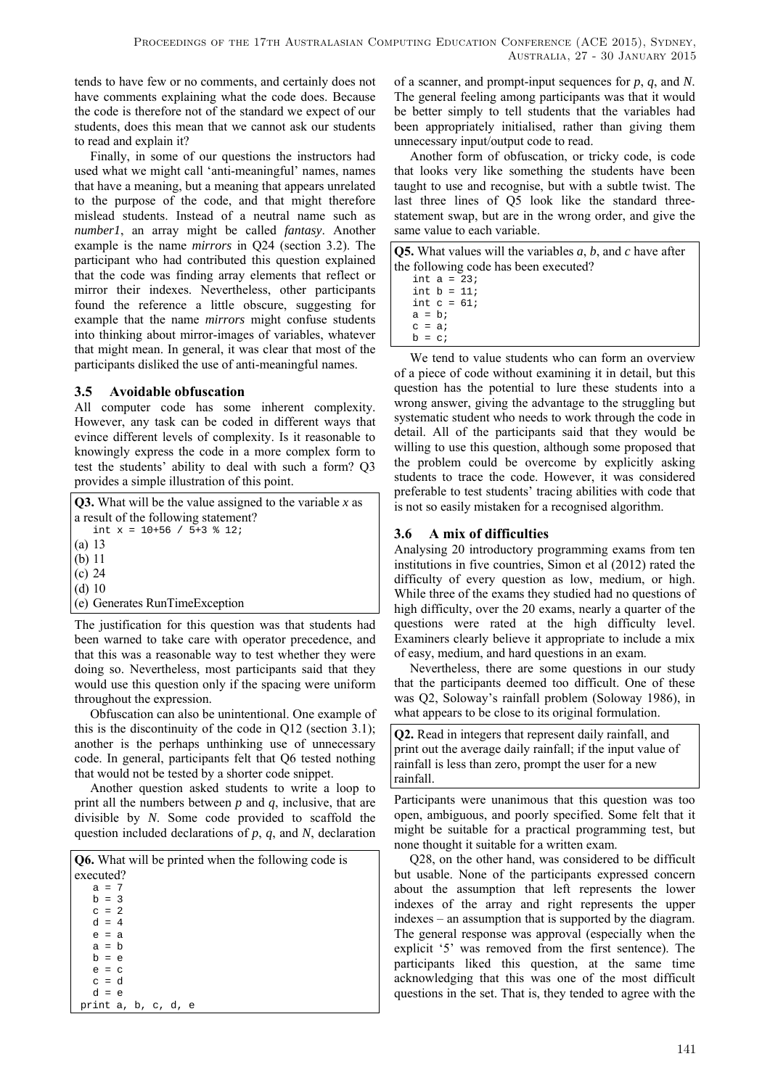tends to have few or no comments, and certainly does not have comments explaining what the code does. Because the code is therefore not of the standard we expect of our students, does this mean that we cannot ask our students to read and explain it?

Finally, in some of our questions the instructors had used what we might call 'anti-meaningful' names, names that have a meaning, but a meaning that appears unrelated to the purpose of the code, and that might therefore mislead students. Instead of a neutral name such as *number1*, an array might be called *fantasy*. Another example is the name *mirrors* in Q24 (section 3.2). The participant who had contributed this question explained that the code was finding array elements that reflect or mirror their indexes. Nevertheless, other participants found the reference a little obscure, suggesting for example that the name *mirrors* might confuse students into thinking about mirror-images of variables, whatever that might mean. In general, it was clear that most of the participants disliked the use of anti-meaningful names.

## **3.5 Avoidable obfuscation**

All computer code has some inherent complexity. However, any task can be coded in different ways that evince different levels of complexity. Is it reasonable to knowingly express the code in a more complex form to test the students' ability to deal with such a form? Q3 provides a simple illustration of this point.

**Q3.** What will be the value assigned to the variable *x* as a result of the following statement? int  $x = 10+56$  /  $5+3$  % 12; (a) 13 (b) 11 (c) 24 (d) 10 (e) Generates RunTimeException

The justification for this question was that students had been warned to take care with operator precedence, and that this was a reasonable way to test whether they were doing so. Nevertheless, most participants said that they would use this question only if the spacing were uniform throughout the expression.

Obfuscation can also be unintentional. One example of this is the discontinuity of the code in Q12 (section 3.1); another is the perhaps unthinking use of unnecessary code. In general, participants felt that Q6 tested nothing that would not be tested by a shorter code snippet.

Another question asked students to write a loop to print all the numbers between *p* and *q*, inclusive, that are divisible by *N*. Some code provided to scaffold the question included declarations of *p*, *q*, and *N*, declaration

| <b>Q6.</b> What will be printed when the following code is |
|------------------------------------------------------------|
| executed?                                                  |
| $a = 7$                                                    |
| $h = 3$                                                    |
| $c = 2$                                                    |
| $d = 4$                                                    |
| $e = a$                                                    |
| $a = b$                                                    |
| $b = e$                                                    |
| $e = c$                                                    |
| $c = d$                                                    |
| $d = e$                                                    |
| print a, b, c, d, e                                        |

of a scanner, and prompt-input sequences for *p*, *q*, and *N*. The general feeling among participants was that it would be better simply to tell students that the variables had been appropriately initialised, rather than giving them unnecessary input/output code to read.

Another form of obfuscation, or tricky code, is code that looks very like something the students have been taught to use and recognise, but with a subtle twist. The last three lines of Q5 look like the standard threestatement swap, but are in the wrong order, and give the same value to each variable.

| <b>Q5.</b> What values will the variables $a, b$ , and c have after |
|---------------------------------------------------------------------|
| the following code has been executed?                               |
| int $a = 23$                                                        |
| int $h = 11i$                                                       |
| int $c = 61$                                                        |
| $a = bi$                                                            |
| $c = ai$                                                            |
| $b = ci$                                                            |

We tend to value students who can form an overview of a piece of code without examining it in detail, but this question has the potential to lure these students into a wrong answer, giving the advantage to the struggling but systematic student who needs to work through the code in detail. All of the participants said that they would be willing to use this question, although some proposed that the problem could be overcome by explicitly asking students to trace the code. However, it was considered preferable to test students' tracing abilities with code that is not so easily mistaken for a recognised algorithm.

## **3.6 A mix of difficulties**

Analysing 20 introductory programming exams from ten institutions in five countries, Simon et al (2012) rated the difficulty of every question as low, medium, or high. While three of the exams they studied had no questions of high difficulty, over the 20 exams, nearly a quarter of the questions were rated at the high difficulty level. Examiners clearly believe it appropriate to include a mix of easy, medium, and hard questions in an exam.

Nevertheless, there are some questions in our study that the participants deemed too difficult. One of these was Q2, Soloway's rainfall problem (Soloway 1986), in what appears to be close to its original formulation.

**Q2.** Read in integers that represent daily rainfall, and print out the average daily rainfall; if the input value of rainfall is less than zero, prompt the user for a new rainfall.

Participants were unanimous that this question was too open, ambiguous, and poorly specified. Some felt that it might be suitable for a practical programming test, but none thought it suitable for a written exam.

Q28, on the other hand, was considered to be difficult but usable. None of the participants expressed concern about the assumption that left represents the lower indexes of the array and right represents the upper indexes – an assumption that is supported by the diagram. The general response was approval (especially when the explicit '5' was removed from the first sentence). The participants liked this question, at the same time acknowledging that this was one of the most difficult questions in the set. That is, they tended to agree with the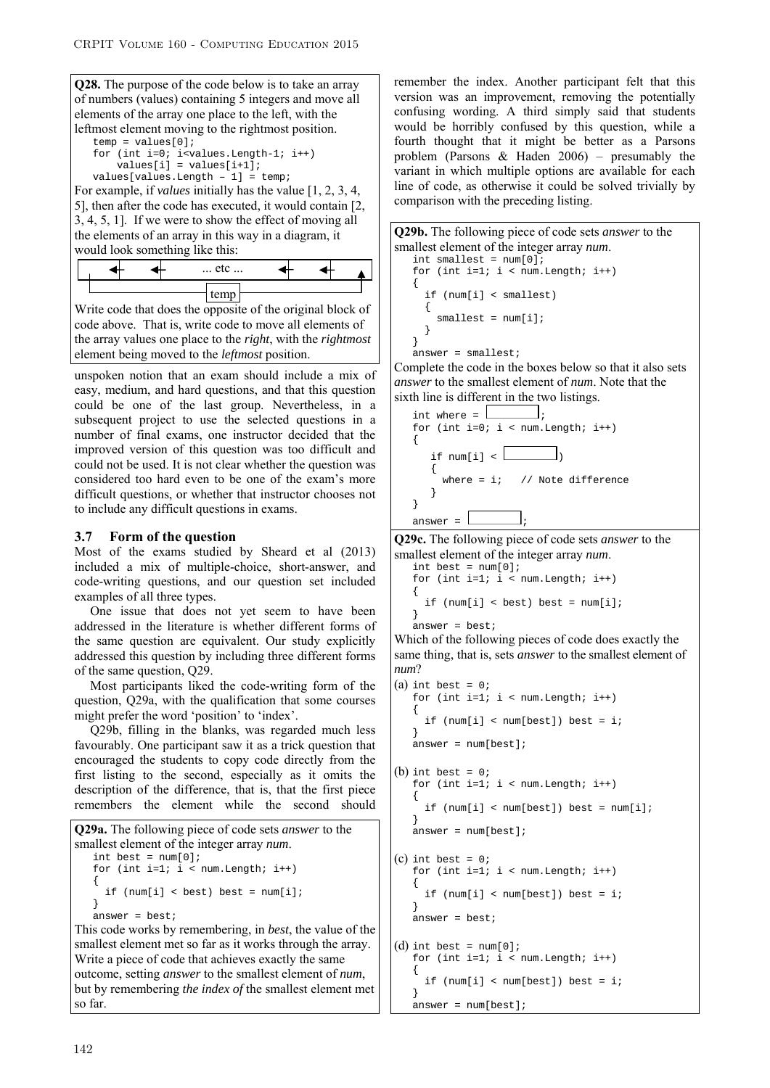**Q28.** The purpose of the code below is to take an array of numbers (values) containing 5 integers and move all elements of the array one place to the left, with the leftmost element moving to the rightmost position.

```
temp = values[0];for (int i=0; i<values.Length-1; i++)
    values[i] = values[i+1];
 values[values.Length – 1] = temp;
```
For example, if *values* initially has the value [1, 2, 3, 4, 5], then after the code has executed, it would contain [2, 3, 4, 5, 1]. If we were to show the effect of moving all the elements of an array in this way in a diagram, it would look something like this:



Write code that does the opposite of the original block of code above. That is, write code to move all elements of the array values one place to the *right*, with the *rightmost* element being moved to the *leftmost* position.

unspoken notion that an exam should include a mix of easy, medium, and hard questions, and that this question could be one of the last group. Nevertheless, in a subsequent project to use the selected questions in a number of final exams, one instructor decided that the improved version of this question was too difficult and could not be used. It is not clear whether the question was considered too hard even to be one of the exam's more difficult questions, or whether that instructor chooses not to include any difficult questions in exams.

#### **3.7 Form of the question**

Most of the exams studied by Sheard et al (2013) included a mix of multiple-choice, short-answer, and code-writing questions, and our question set included examples of all three types.

One issue that does not yet seem to have been addressed in the literature is whether different forms of the same question are equivalent. Our study explicitly addressed this question by including three different forms of the same question, Q29.

Most participants liked the code-writing form of the question, Q29a, with the qualification that some courses might prefer the word 'position' to 'index'.

Q29b, filling in the blanks, was regarded much less favourably. One participant saw it as a trick question that encouraged the students to copy code directly from the first listing to the second, especially as it omits the description of the difference, that is, that the first piece remembers the element while the second should

```
Q29a. The following piece of code sets answer to the 
smallest element of the integer array num. int best = num[0];
   for (int i=1; i < num.length; i++)\{if (num[i] < best) best = num[i];
 } 
   answer = best; 
This code works by remembering, in best, the value of the
```
smallest element met so far as it works through the array. Write a piece of code that achieves exactly the same outcome, setting *answer* to the smallest element of *num*, but by remembering *the index of* the smallest element met so far.

remember the index. Another participant felt that this version was an improvement, removing the potentially confusing wording. A third simply said that students would be horribly confused by this question, while a fourth thought that it might be better as a Parsons problem (Parsons & Haden 2006) – presumably the variant in which multiple options are available for each line of code, as otherwise it could be solved trivially by comparison with the preceding listing.

```
Q29b. The following piece of code sets answer to the 
smallest element of the integer array num. int smallest = num[0]; 
    for (int i=1; i < num.length; i++) { 
        if (num[i] < smallest) 
\left\{ \begin{array}{c} \end{array} \right\}\begin{cases} \texttt{smallest} = \texttt{num[i];} \\ \end{cases} } 
     } 
    answer = smallest;
```
Complete the code in the boxes below so that it also sets *answer* to the smallest element of *num*. Note that the sixth line is different in the two listings.

```
int where = \boxed{\qquad};
              for (int i=0; i < num.Length; i++) 
              { 
                          if num[i] < \lfloor{ \nabla \cdot \nabla \cdot \nabla \cdot \nabla \cdot \nabla \cdot \nabla \cdot \nabla \cdot \nabla \cdot \nabla \cdot \nabla \cdot \nabla \cdot \nabla \cdot \nabla \cdot \nabla \cdot \nabla \cdot \nabla \cdot \nabla \cdot \nabla \cdot \nabla \cdot \nabla \cdot \nabla \cdot \nabla \cdot \nabla \cdot \nabla \cdot \nabla \cdot \nabla \cdot \nabla \cdot \nabla \cdot \nabla \cdot \nabla \cdot \nabla \cdot \nabla \cdot \nabla \cdot \nabla \cdot \nabla \cdot \nabla \cdot \nabwhere = i; // Note difference
 } 
              } 
             answer = \lfloor
```
**Q29c.** The following piece of code sets *answer* to the smallest element of the integer array *num*.

```
int best = num[0];for (int i=1; i < num.length; i++)\{if (num[i] < best) best = num[i]; }
```

```
answer = best;
```
Which of the following pieces of code does exactly the same thing, that is, sets *answer* to the smallest element of *num*?

```
(a) int best = 0;
   for (int i=1; i < num.length; i++)\{ if (num[i] < num[best]) best = i; 
 } 
   answer = num[best];(b) int best = 0;
   for (int i=1; i < num.length; i++)\{ if (num[i] < num[best]) best = num[i]; 
 } 
   answer = num[best];(c) int best = 0;
   for (int i=1; i < num.length; i++)\{ if (num[i] < num[best]) best = i; 
 } 
  answer = best;(d) int best = num[0];
   for (int i=1; i < num.length; i++) { 
      if (num[i] < num[best]) best = i; 
 }
```
answer = num[best];

```
142
```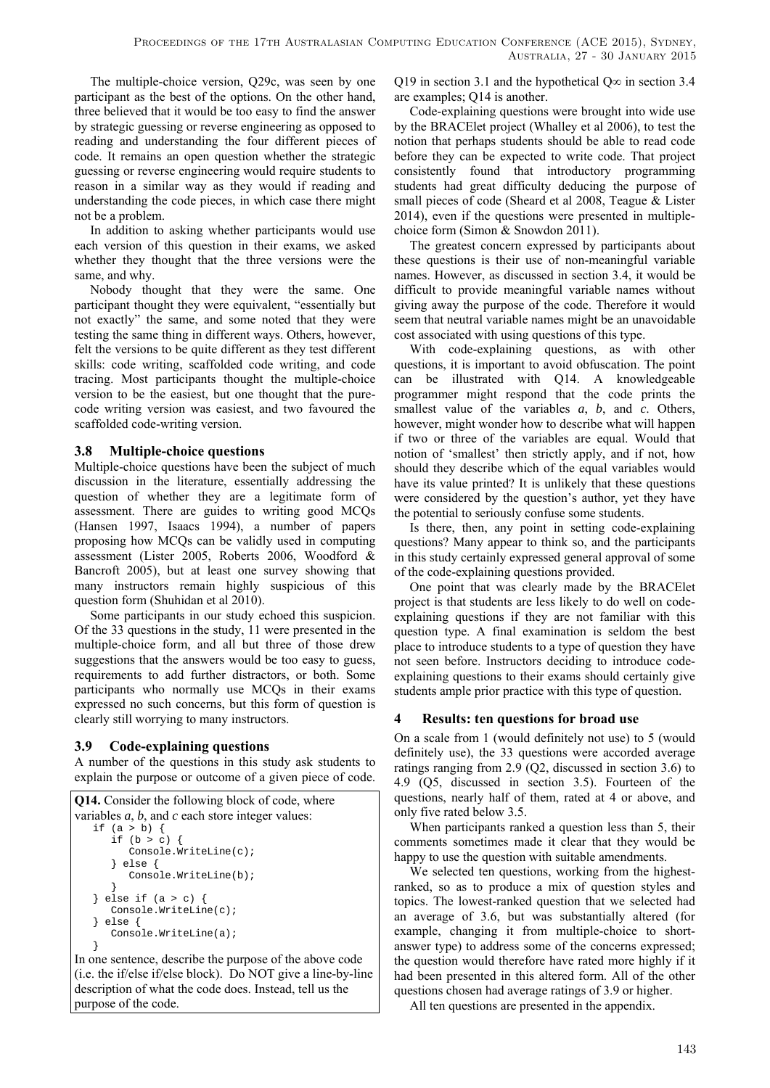The multiple-choice version, Q29c, was seen by one participant as the best of the options. On the other hand, three believed that it would be too easy to find the answer by strategic guessing or reverse engineering as opposed to reading and understanding the four different pieces of code. It remains an open question whether the strategic guessing or reverse engineering would require students to reason in a similar way as they would if reading and understanding the code pieces, in which case there might not be a problem.

In addition to asking whether participants would use each version of this question in their exams, we asked whether they thought that the three versions were the same, and why.

Nobody thought that they were the same. One participant thought they were equivalent, "essentially but not exactly" the same, and some noted that they were testing the same thing in different ways. Others, however, felt the versions to be quite different as they test different skills: code writing, scaffolded code writing, and code tracing. Most participants thought the multiple-choice version to be the easiest, but one thought that the purecode writing version was easiest, and two favoured the scaffolded code-writing version.

## **3.8 Multiple-choice questions**

Multiple-choice questions have been the subject of much discussion in the literature, essentially addressing the question of whether they are a legitimate form of assessment. There are guides to writing good MCQs (Hansen 1997, Isaacs 1994), a number of papers proposing how MCQs can be validly used in computing assessment (Lister 2005, Roberts 2006, Woodford & Bancroft 2005), but at least one survey showing that many instructors remain highly suspicious of this question form (Shuhidan et al 2010).

Some participants in our study echoed this suspicion. Of the 33 questions in the study, 11 were presented in the multiple-choice form, and all but three of those drew suggestions that the answers would be too easy to guess. requirements to add further distractors, or both. Some participants who normally use MCQs in their exams expressed no such concerns, but this form of question is clearly still worrying to many instructors.

## **3.9 Code-explaining questions**

A number of the questions in this study ask students to explain the purpose or outcome of a given piece of code.

```
Q14. Consider the following block of code, where 
variables a, b, and c each store integer values: 
   if (a > b) { 
      if (b > c) {
           Console.WriteLine(c); 
       } else { 
           Console.WriteLine(b); 
 } 
   } else if (a > c) {
       Console.WriteLine(c); 
    } else { 
       Console.WriteLine(a); 
    }
```
In one sentence, describe the purpose of the above code (i.e. the if/else if/else block). Do NOT give a line-by-line description of what the code does. Instead, tell us the purpose of the code.

Q19 in section 3.1 and the hypothetical Q∞ in section 3.4 are examples; Q14 is another.

Code-explaining questions were brought into wide use by the BRACElet project (Whalley et al 2006), to test the notion that perhaps students should be able to read code before they can be expected to write code. That project consistently found that introductory programming students had great difficulty deducing the purpose of small pieces of code (Sheard et al 2008, Teague & Lister 2014), even if the questions were presented in multiplechoice form (Simon & Snowdon 2011).

The greatest concern expressed by participants about these questions is their use of non-meaningful variable names. However, as discussed in section 3.4, it would be difficult to provide meaningful variable names without giving away the purpose of the code. Therefore it would seem that neutral variable names might be an unavoidable cost associated with using questions of this type.

With code-explaining questions, as with other questions, it is important to avoid obfuscation. The point can be illustrated with Q14. A knowledgeable programmer might respond that the code prints the smallest value of the variables *a*, *b*, and *c*. Others, however, might wonder how to describe what will happen if two or three of the variables are equal. Would that notion of 'smallest' then strictly apply, and if not, how should they describe which of the equal variables would have its value printed? It is unlikely that these questions were considered by the question's author, yet they have the potential to seriously confuse some students.

Is there, then, any point in setting code-explaining questions? Many appear to think so, and the participants in this study certainly expressed general approval of some of the code-explaining questions provided.

One point that was clearly made by the BRACElet project is that students are less likely to do well on codeexplaining questions if they are not familiar with this question type. A final examination is seldom the best place to introduce students to a type of question they have not seen before. Instructors deciding to introduce codeexplaining questions to their exams should certainly give students ample prior practice with this type of question.

## **4 Results: ten questions for broad use**

On a scale from 1 (would definitely not use) to 5 (would definitely use), the 33 questions were accorded average ratings ranging from 2.9 (Q2, discussed in section 3.6) to 4.9 (Q5, discussed in section 3.5). Fourteen of the questions, nearly half of them, rated at 4 or above, and only five rated below 3.5.

When participants ranked a question less than 5, their comments sometimes made it clear that they would be happy to use the question with suitable amendments.

We selected ten questions, working from the highestranked, so as to produce a mix of question styles and topics. The lowest-ranked question that we selected had an average of 3.6, but was substantially altered (for example, changing it from multiple-choice to shortanswer type) to address some of the concerns expressed; the question would therefore have rated more highly if it had been presented in this altered form. All of the other questions chosen had average ratings of 3.9 or higher.

All ten questions are presented in the appendix.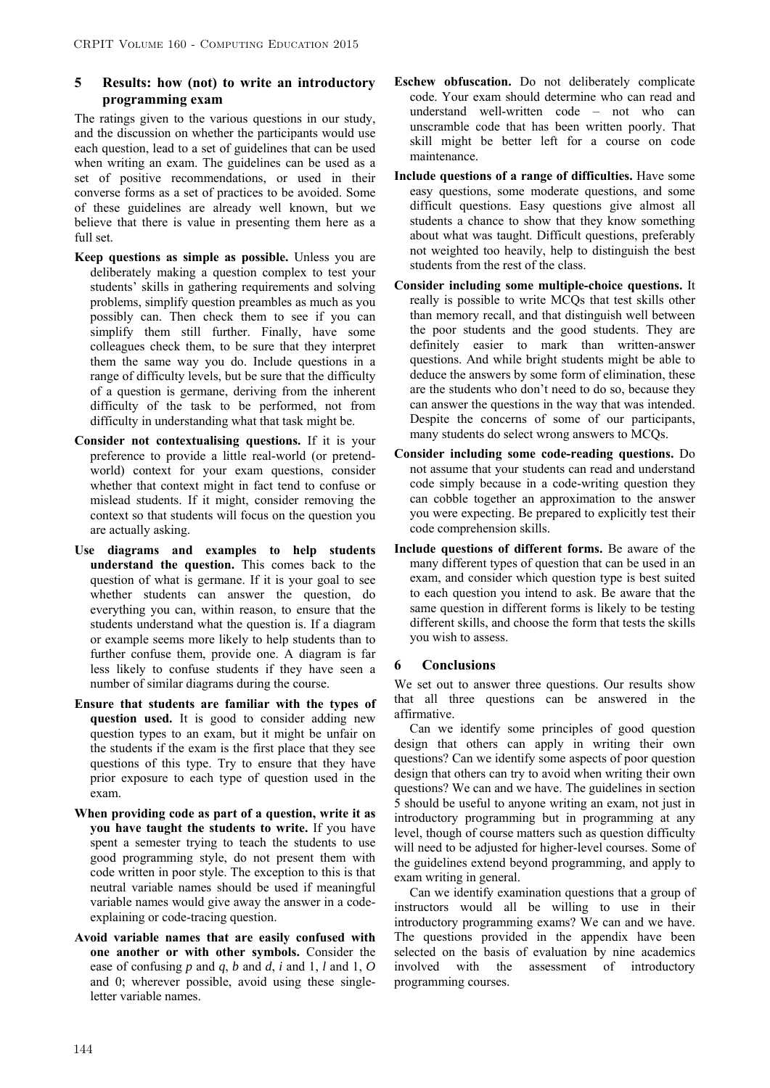## **5 Results: how (not) to write an introductory programming exam**

The ratings given to the various questions in our study, and the discussion on whether the participants would use each question, lead to a set of guidelines that can be used when writing an exam. The guidelines can be used as a set of positive recommendations, or used in their converse forms as a set of practices to be avoided. Some of these guidelines are already well known, but we believe that there is value in presenting them here as a  $full$  set.

- **Keep questions as simple as possible.** Unless you are deliberately making a question complex to test your students' skills in gathering requirements and solving problems, simplify question preambles as much as you possibly can. Then check them to see if you can simplify them still further. Finally, have some colleagues check them, to be sure that they interpret them the same way you do. Include questions in a range of difficulty levels, but be sure that the difficulty of a question is germane, deriving from the inherent difficulty of the task to be performed, not from difficulty in understanding what that task might be.
- **Consider not contextualising questions.** If it is your preference to provide a little real-world (or pretendworld) context for your exam questions, consider whether that context might in fact tend to confuse or mislead students. If it might, consider removing the context so that students will focus on the question you are actually asking.
- **Use diagrams and examples to help students understand the question.** This comes back to the question of what is germane. If it is your goal to see whether students can answer the question, do everything you can, within reason, to ensure that the students understand what the question is. If a diagram or example seems more likely to help students than to further confuse them, provide one. A diagram is far less likely to confuse students if they have seen a number of similar diagrams during the course.
- **Ensure that students are familiar with the types of question used.** It is good to consider adding new question types to an exam, but it might be unfair on the students if the exam is the first place that they see questions of this type. Try to ensure that they have prior exposure to each type of question used in the exam.
- **When providing code as part of a question, write it as you have taught the students to write.** If you have spent a semester trying to teach the students to use good programming style, do not present them with code written in poor style. The exception to this is that neutral variable names should be used if meaningful variable names would give away the answer in a codeexplaining or code-tracing question.
- **Avoid variable names that are easily confused with one another or with other symbols.** Consider the ease of confusing *p* and *q*, *b* and *d*, *i* and 1, *l* and 1, *O* and 0; wherever possible, avoid using these singleletter variable names.
- **Eschew obfuscation.** Do not deliberately complicate code. Your exam should determine who can read and understand well-written code – not who can unscramble code that has been written poorly. That skill might be better left for a course on code maintenance.
- **Include questions of a range of difficulties.** Have some easy questions, some moderate questions, and some difficult questions. Easy questions give almost all students a chance to show that they know something about what was taught. Difficult questions, preferably not weighted too heavily, help to distinguish the best students from the rest of the class.
- **Consider including some multiple-choice questions.** It really is possible to write MCQs that test skills other than memory recall, and that distinguish well between the poor students and the good students. They are definitely easier to mark than written-answer questions. And while bright students might be able to deduce the answers by some form of elimination, these are the students who don't need to do so, because they can answer the questions in the way that was intended. Despite the concerns of some of our participants, many students do select wrong answers to MCQs.
- **Consider including some code-reading questions.** Do not assume that your students can read and understand code simply because in a code-writing question they can cobble together an approximation to the answer you were expecting. Be prepared to explicitly test their code comprehension skills.
- **Include questions of different forms.** Be aware of the many different types of question that can be used in an exam, and consider which question type is best suited to each question you intend to ask. Be aware that the same question in different forms is likely to be testing different skills, and choose the form that tests the skills you wish to assess.

### **6 Conclusions**

We set out to answer three questions. Our results show that all three questions can be answered in the affirmative.

Can we identify some principles of good question design that others can apply in writing their own questions? Can we identify some aspects of poor question design that others can try to avoid when writing their own questions? We can and we have. The guidelines in section 5 should be useful to anyone writing an exam, not just in introductory programming but in programming at any level, though of course matters such as question difficulty will need to be adjusted for higher-level courses. Some of the guidelines extend beyond programming, and apply to exam writing in general.

Can we identify examination questions that a group of instructors would all be willing to use in their introductory programming exams? We can and we have. The questions provided in the appendix have been selected on the basis of evaluation by nine academics involved with the assessment of introductory programming courses.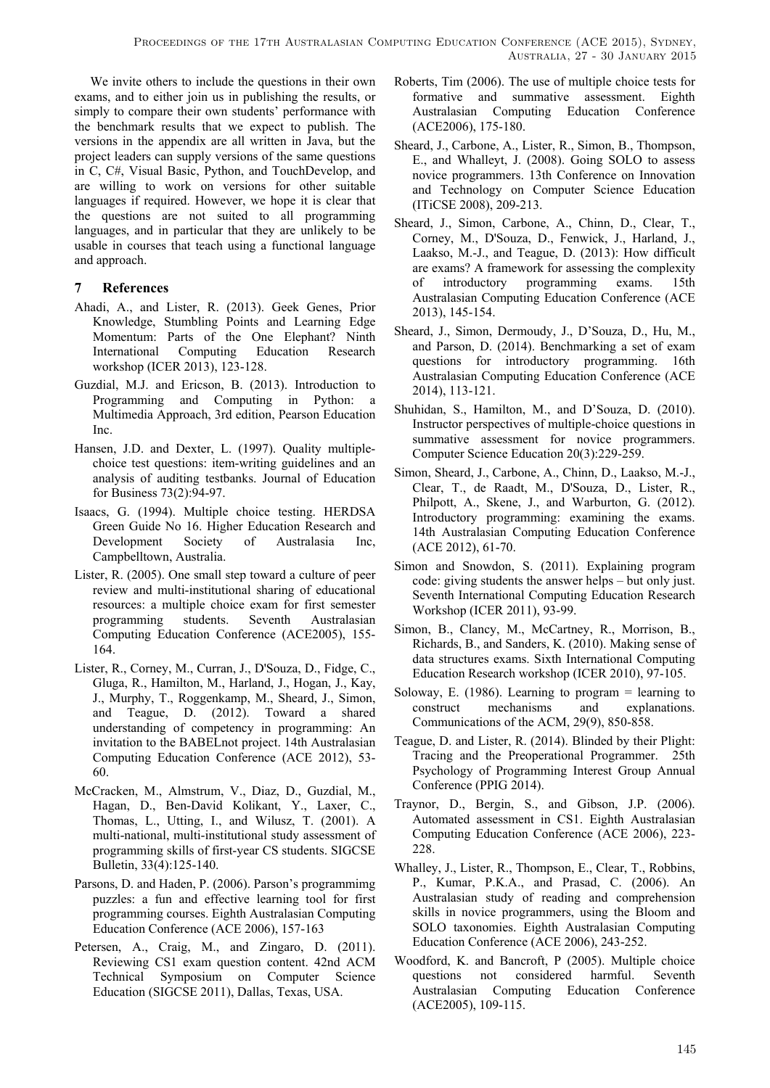We invite others to include the questions in their own exams, and to either join us in publishing the results, or simply to compare their own students' performance with the benchmark results that we expect to publish. The versions in the appendix are all written in Java, but the project leaders can supply versions of the same questions in C, C#, Visual Basic, Python, and TouchDevelop, and are willing to work on versions for other suitable languages if required. However, we hope it is clear that the questions are not suited to all programming languages, and in particular that they are unlikely to be usable in courses that teach using a functional language and approach.

## **7 References**

- Ahadi, A., and Lister, R. (2013). Geek Genes, Prior Knowledge, Stumbling Points and Learning Edge Momentum: Parts of the One Elephant? Ninth International Computing Education Research workshop (ICER 2013), 123-128.
- Guzdial, M.J. and Ericson, B. (2013). Introduction to Programming and Computing in Python: a Multimedia Approach, 3rd edition, Pearson Education Inc.
- Hansen, J.D. and Dexter, L. (1997). Quality multiplechoice test questions: item-writing guidelines and an analysis of auditing testbanks. Journal of Education for Business 73(2):94-97.
- Isaacs, G. (1994). Multiple choice testing. HERDSA Green Guide No 16. Higher Education Research and Development Society of Australasia Inc, Campbelltown, Australia.
- Lister, R. (2005). One small step toward a culture of peer review and multi-institutional sharing of educational resources: a multiple choice exam for first semester programming students. Seventh Australasian Computing Education Conference (ACE2005), 155- 164.
- Lister, R., Corney, M., Curran, J., D'Souza, D., Fidge, C., Gluga, R., Hamilton, M., Harland, J., Hogan, J., Kay, J., Murphy, T., Roggenkamp, M., Sheard, J., Simon, and Teague, D. (2012). Toward a shared understanding of competency in programming: An invitation to the BABELnot project. 14th Australasian Computing Education Conference (ACE 2012), 53- 60.
- McCracken, M., Almstrum, V., Diaz, D., Guzdial, M., Hagan, D., Ben-David Kolikant, Y., Laxer, C., Thomas, L., Utting, I., and Wilusz, T. (2001). A multi-national, multi-institutional study assessment of programming skills of first-year CS students. SIGCSE Bulletin, 33(4):125-140.
- Parsons, D. and Haden, P. (2006). Parson's programmimg puzzles: a fun and effective learning tool for first programming courses. Eighth Australasian Computing Education Conference (ACE 2006), 157-163
- Petersen, A., Craig, M., and Zingaro, D. (2011). Reviewing CS1 exam question content. 42nd ACM Technical Symposium on Computer Science Education (SIGCSE 2011), Dallas, Texas, USA.
- Roberts, Tim (2006). The use of multiple choice tests for formative and summative assessment. Eighth Australasian Computing Education Conference (ACE2006), 175-180.
- Sheard, J., Carbone, A., Lister, R., Simon, B., Thompson, E., and Whalleyt, J. (2008). Going SOLO to assess novice programmers. 13th Conference on Innovation and Technology on Computer Science Education (ITiCSE 2008), 209-213.
- Sheard, J., Simon, Carbone, A., Chinn, D., Clear, T., Corney, M., D'Souza, D., Fenwick, J., Harland, J., Laakso, M.-J., and Teague, D. (2013): How difficult are exams? A framework for assessing the complexity of introductory programming exams. 15th Australasian Computing Education Conference (ACE 2013), 145-154.
- Sheard, J., Simon, Dermoudy, J., D'Souza, D., Hu, M., and Parson, D. (2014). Benchmarking a set of exam questions for introductory programming. 16th Australasian Computing Education Conference (ACE 2014), 113-121.
- Shuhidan, S., Hamilton, M., and D'Souza, D. (2010). Instructor perspectives of multiple-choice questions in summative assessment for novice programmers. Computer Science Education 20(3):229-259.
- Simon, Sheard, J., Carbone, A., Chinn, D., Laakso, M.-J., Clear, T., de Raadt, M., D'Souza, D., Lister, R., Philpott, A., Skene, J., and Warburton, G. (2012). Introductory programming: examining the exams. 14th Australasian Computing Education Conference (ACE 2012), 61-70.
- Simon and Snowdon, S. (2011). Explaining program code: giving students the answer helps – but only just. Seventh International Computing Education Research Workshop (ICER 2011), 93-99.
- Simon, B., Clancy, M., McCartney, R., Morrison, B., Richards, B., and Sanders, K. (2010). Making sense of data structures exams. Sixth International Computing Education Research workshop (ICER 2010), 97-105.
- Soloway, E. (1986). Learning to program = learning to construct mechanisms and explanations. Communications of the ACM, 29(9), 850-858.
- Teague, D. and Lister, R. (2014). Blinded by their Plight: Tracing and the Preoperational Programmer. 25th Psychology of Programming Interest Group Annual Conference (PPIG 2014).
- Traynor, D., Bergin, S., and Gibson, J.P. (2006). Automated assessment in CS1. Eighth Australasian Computing Education Conference (ACE 2006), 223- 228.
- Whalley, J., Lister, R., Thompson, E., Clear, T., Robbins, P., Kumar, P.K.A., and Prasad, C. (2006). An Australasian study of reading and comprehension skills in novice programmers, using the Bloom and SOLO taxonomies. Eighth Australasian Computing Education Conference (ACE 2006), 243-252.
- Woodford, K. and Bancroft, P (2005). Multiple choice questions not considered harmful. Seventh Australasian Computing Education Conference (ACE2005), 109-115.